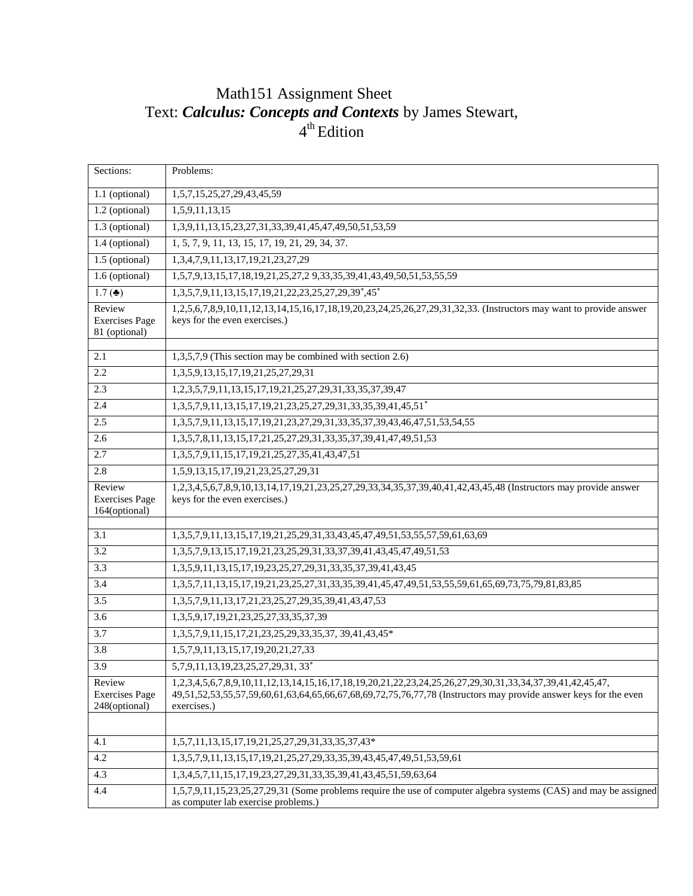## Math151 Assignment Sheet Text: *Calculus: Concepts and Contexts* by James Stewart, 4<sup>th</sup> Edition

| Sections:                                        | Problems:                                                                                                                                                                                                                                    |
|--------------------------------------------------|----------------------------------------------------------------------------------------------------------------------------------------------------------------------------------------------------------------------------------------------|
| 1.1 (optional)                                   | 1,5,7,15,25,27,29,43,45,59                                                                                                                                                                                                                   |
| $\overline{1.2}$ (optional)                      | 1,5,9,11,13,15                                                                                                                                                                                                                               |
| $1.3$ (optional)                                 | 1,3,9,11,13,15,23,27,31,33,39,41,45,47,49,50,51,53,59                                                                                                                                                                                        |
| 1.4 (optional)                                   | 1, 5, 7, 9, 11, 13, 15, 17, 19, 21, 29, 34, 37.                                                                                                                                                                                              |
| 1.5 (optional)                                   | 1,3,4,7,9,11,13,17,19,21,23,27,29                                                                                                                                                                                                            |
| 1.6 (optional)                                   | 1,5,7,9,13,15,17,18,19,21,25,27,2 9,33,35,39,41,43,49,50,51,53,55,59                                                                                                                                                                         |
| 1.7 ( $\triangleq$ )                             | 1,3,5,7,9,11,13,15,17,19,21,22,23,25,27,29,39*,45*                                                                                                                                                                                           |
| Review<br><b>Exercises Page</b><br>81 (optional) | 1,2,5,6,7,8,9,10,11,12,13,14,15,16,17,18,19,20,23,24,25,26,27,29,31,32,33. (Instructors may want to provide answer<br>keys for the even exercises.)                                                                                          |
| 2.1                                              | 1,3,5,7,9 (This section may be combined with section 2.6)                                                                                                                                                                                    |
| 2.2                                              | 1, 3, 5, 9, 13, 15, 17, 19, 21, 25, 27, 29, 31                                                                                                                                                                                               |
| 2.3                                              | 1,2,3,5,7,9,11,13,15,17,19,21,25,27,29,31,33,35,37,39,47                                                                                                                                                                                     |
| 2.4                                              | 1,3,5,7,9,11,13,15,17,19,21,23,25,27,29,31,33,35,39,41,45,51*                                                                                                                                                                                |
| 2.5                                              | 1, 3, 5, 7, 9, 11, 13, 15, 17, 19, 21, 23, 27, 29, 31, 33, 35, 37, 39, 43, 46, 47, 51, 53, 54, 55                                                                                                                                            |
| 2.6                                              | 1, 3, 5, 7, 8, 11, 13, 15, 17, 21, 25, 27, 29, 31, 33, 35, 37, 39, 41, 47, 49, 51, 53                                                                                                                                                        |
| 2.7                                              | 1, 3, 5, 7, 9, 11, 15, 17, 19, 21, 25, 27, 35, 41, 43, 47, 51                                                                                                                                                                                |
| 2.8                                              | 1,5,9,13,15,17,19,21,23,25,27,29,31                                                                                                                                                                                                          |
| Review<br><b>Exercises Page</b><br>164(optional) | 1,2,3,4,5,6,7,8,9,10,13,14,17,19,21,23,25,27,29,33,34,35,37,39,40,41,42,43,45,48 (Instructors may provide answer<br>keys for the even exercises.)                                                                                            |
| 3.1                                              | 1,3,5,7,9,11,13,15,17,19,21,25,29,31,33,43,45,47,49,51,53,55,57,59,61,63,69                                                                                                                                                                  |
| 3.2                                              | 1,3,5,7,9,13,15,17,19,21,23,25,29,31,33,37,39,41,43,45,47,49,51,53                                                                                                                                                                           |
| 3.3                                              | 1,3,5,9,11,13,15,17,19,23,25,27,29,31,33,35,37,39,41,43,45                                                                                                                                                                                   |
| 3.4                                              | 1, 3, 5, 7, 11, 13, 15, 17, 19, 21, 23, 25, 27, 31, 33, 35, 39, 41, 45, 47, 49, 51, 53, 55, 59, 61, 65, 69, 73, 75, 79, 81, 83, 85                                                                                                           |
| 3.5                                              | 1,3,5,7,9,11,13,17,21,23,25,27,29,35,39,41,43,47,53                                                                                                                                                                                          |
| 3.6                                              | 1,3,5,9,17,19,21,23,25,27,33,35,37,39                                                                                                                                                                                                        |
| 3.7                                              | 1,3,5,7,9,11,15,17,21,23,25,29,33,35,37, 39,41,43,45*                                                                                                                                                                                        |
| 3.8                                              | 1,5,7,9,11,13,15,17,19,20,21,27,33                                                                                                                                                                                                           |
| 3.9                                              | 5,7,9,11,13,19,23,25,27,29,31,33*                                                                                                                                                                                                            |
| Review<br><b>Exercises Page</b><br>248(optional) | 1,2,3,4,5,6,7,8,9,10,11,12,13,14,15,16,17,18,19,20,21,22,23,24,25,26,27,29,30,31,33,34,37,39,41,42,45,47,<br>49,51,52,53,55,57,59,60,61,63,64,65,66,67,68,69,72,75,76,77,78 (Instructors may provide answer keys for the even<br>exercises.) |
|                                                  |                                                                                                                                                                                                                                              |
| 4.1                                              | 1,5,7,11,13,15,17,19,21,25,27,29,31,33,35,37,43*                                                                                                                                                                                             |
| 4.2                                              | 1,3,5,7,9,11,13,15,17,19,21,25,27,29,33,35,39,43,45,47,49,51,53,59,61                                                                                                                                                                        |
| 4.3                                              | 1,3,4,5,7,11,15,17,19,23,27,29,31,33,35,39,41,43,45,51,59,63,64                                                                                                                                                                              |
| 4.4                                              | 1,5,7,9,11,15,23,25,27,29,31 (Some problems require the use of computer algebra systems (CAS) and may be assigned<br>as computer lab exercise problems.)                                                                                     |